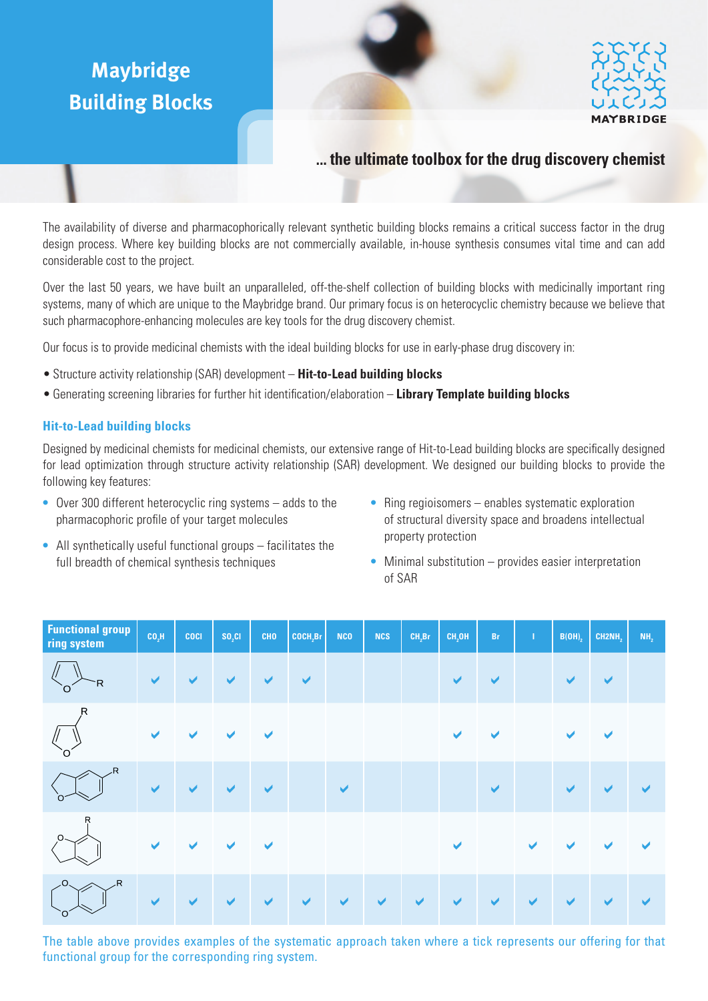# **Maybridge Building Blocks**





## **... the ultimate toolbox for the drug discovery chemist**

The availability of diverse and pharmacophorically relevant synthetic building blocks remains a critical success factor in the drug design process. Where key building blocks are not commercially available, in-house synthesis consumes vital time and can add considerable cost to the project.

Over the last 50 years, we have built an unparalleled, off-the-shelf collection of building blocks with medicinally important ring systems, many of which are unique to the Maybridge brand. Our primary focus is on heterocyclic chemistry because we believe that such pharmacophore-enhancing molecules are key tools for the drug discovery chemist.

Our focus is to provide medicinal chemists with the ideal building blocks for use in early-phase drug discovery in:

- • Structure activity relationship (SAR) development **Hit-to-Lead building blocks**
- • Generating screening libraries for further hit identification/elaboration **Library Template building blocks**

### **Hit-to-Lead building blocks**

Designed by medicinal chemists for medicinal chemists, our extensive range of Hit-to-Lead building blocks are specifically designed for lead optimization through structure activity relationship (SAR) development. We designed our building blocks to provide the following key features:

- Over 300 different heterocyclic ring systems adds to the pharmacophoric profile of your target molecules
- Ring regioisomers enables systematic exploration of structural diversity space and broadens intellectual property protection
- All synthetically useful functional groups facilitates the full breadth of chemical synthesis techniques
- Minimal substitution provides easier interpretation of SAR

| <b>Functional group</b><br>ring system | CO <sub>2</sub> H    | <b>COCI</b>          | $SO_2Cl$ | <b>CHO</b>           | COCH <sub>2</sub> Br | <b>NCO</b>           | <b>NCS</b>           | $CH_2Br$             | CH <sub>2</sub> OH    | Br           | $\mathbf{I}$         | $B(OH)_{2}$          | CH2NH <sub>2</sub>   | NH <sub>2</sub>       |
|----------------------------------------|----------------------|----------------------|----------|----------------------|----------------------|----------------------|----------------------|----------------------|-----------------------|--------------|----------------------|----------------------|----------------------|-----------------------|
| R<br>์ O                               | $\blacktriangledown$ | $\blacktriangledown$ | ✔        | ✔                    | $\blacktriangledown$ |                      |                      |                      | $\blacktriangledown$  | $\checkmark$ |                      | $\blacktriangledown$ | $\checkmark$         |                       |
| $\mathsf{R}$                           | ✔                    |                      | ✔        | ✔                    |                      |                      |                      |                      | $\blacktriangleright$ | ✔            |                      | ✔                    | V                    |                       |
| R,                                     | $\blacktriangledown$ | $\checkmark$         | ✔        | $\blacktriangledown$ |                      | $\blacktriangledown$ |                      |                      |                       | $\checkmark$ |                      | $\blacktriangledown$ | $\blacktriangledown$ | $\blacktriangledown$  |
| R                                      | ✔                    |                      | ✔        | ✔                    |                      |                      |                      |                      | $\blacktriangledown$  |              | $\checkmark$         |                      |                      | $\blacktriangleright$ |
| .0.<br>R<br>`Oʻ                        | $\blacktriangledown$ | $\blacktriangledown$ | ✔        | ✔                    | ✔                    | $\blacktriangledown$ | $\blacktriangledown$ | $\blacktriangledown$ | $\blacktriangledown$  | ✔            | $\blacktriangledown$ | $\checkmark$         | $\checkmark$         | $\blacktriangleright$ |

The table above provides examples of the systematic approach taken where a tick represents our offering for that functional group for the corresponding ring system.